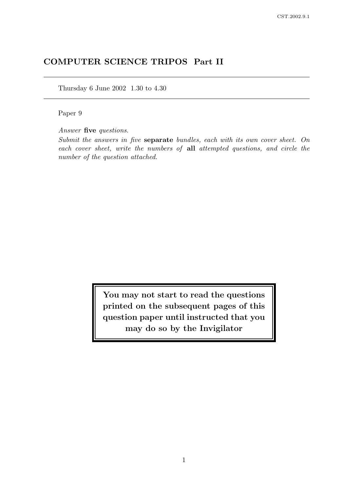# COMPUTER SCIENCE TRIPOS Part II

Thursday 6 June 2002 1.30 to 4.30

Paper 9

Answer five questions.

Submit the answers in five separate bundles, each with its own cover sheet. On each cover sheet, write the numbers of all attempted questions, and circle the number of the question attached.

> You may not start to read the questions printed on the subsequent pages of this question paper until instructed that you may do so by the Invigilator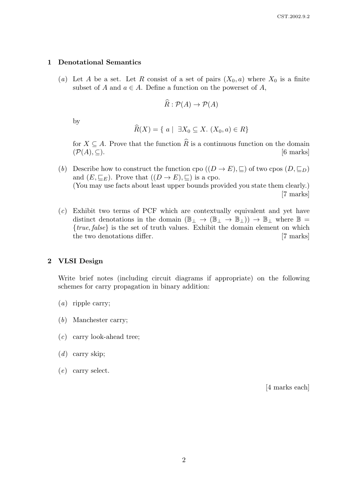#### 1 Denotational Semantics

(a) Let A be a set. Let R consist of a set of pairs  $(X_0, a)$  where  $X_0$  is a finite subset of A and  $a \in A$ . Define a function on the powerset of A,

$$
\widehat{R} : \mathcal{P}(A) \to \mathcal{P}(A)
$$

by

$$
\widehat{R}(X) = \{ a \mid \exists X_0 \subseteq X. \ (X_0, a) \in R \}
$$

for  $X \subseteq A$ . Prove that the function  $\widehat{R}$  is a continuous function on the domain  $(\mathcal{P}(A), \subset)$ . [6 marks]  $(\mathcal{P}(A), \subseteq)$ .

- (b) Describe how to construct the function cpo  $((D \to E), \sqsubseteq)$  of two cpos  $(D, \sqsubseteq_D)$ and  $(E, \subseteq_E)$ . Prove that  $((D \to E), \subseteq)$  is a cpo. (You may use facts about least upper bounds provided you state them clearly.) [7 marks]
- (c) Exhibit two terms of PCF which are contextually equivalent and yet have distinct denotations in the domain  $(\mathbb{B}_{\perp} \to (\mathbb{B}_{\perp} \to \mathbb{B}_{\perp})) \to \mathbb{B}_{\perp}$  where  $\mathbb{B} =$  ${true, false}$  is the set of truth values. Exhibit the domain element on which the two denotations differ. [7 marks]

### 2 VLSI Design

Write brief notes (including circuit diagrams if appropriate) on the following schemes for carry propagation in binary addition:

- (a) ripple carry;
- (b) Manchester carry;
- (c) carry look-ahead tree;
- $(d)$  carry skip;
- (e) carry select.

[4 marks each]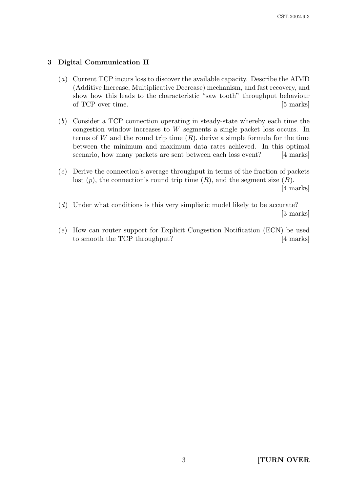## 3 Digital Communication II

- (a) Current TCP incurs loss to discover the available capacity. Describe the AIMD (Additive Increase, Multiplicative Decrease) mechanism, and fast recovery, and show how this leads to the characteristic "saw tooth" throughput behaviour of TCP over time. [5 marks]
- (b) Consider a TCP connection operating in steady-state whereby each time the congestion window increases to W segments a single packet loss occurs. In terms of W and the round trip time  $(R)$ , derive a simple formula for the time between the minimum and maximum data rates achieved. In this optimal scenario, how many packets are sent between each loss event? [4 marks]
- (c) Derive the connection's average throughput in terms of the fraction of packets lost  $(p)$ , the connection's round trip time  $(R)$ , and the segment size  $(B)$ .

[4 marks]

- (d) Under what conditions is this very simplistic model likely to be accurate? [3 marks]
- (e) How can router support for Explicit Congestion Notification (ECN) be used to smooth the TCP throughput? [4 marks]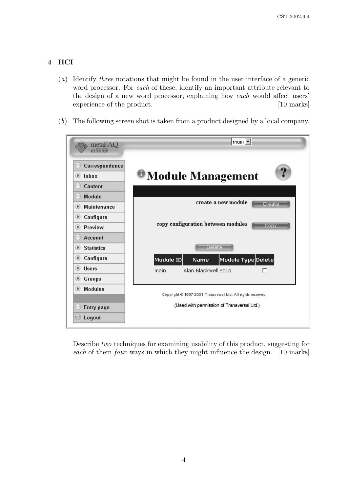## 4 HCI

- (a) Identify three notations that might be found in the user interface of a generic word processor. For each of these, identify an important attribute relevant to the design of a new word processor, explaining how each would affect users' experience of the product. [10 marks]
- (b) The following screen shot is taken from a product designed by a local company.

| metaFAQ<br>professional                  | main                                                        |
|------------------------------------------|-------------------------------------------------------------|
| Correspondence<br>Inbox<br>Þ)<br>Content | <b>Module Management</b>                                    |
| Module                                   | create a new module                                         |
| <b>Maintenance</b><br>D                  | Create                                                      |
| Configure<br>D                           |                                                             |
| Preview<br>$\triangleright$              | copy configuration between modules<br>Copy                  |
| <b>Account</b>                           |                                                             |
| <b>Statistics</b><br>D                   | Deleter                                                     |
| Configure<br>D                           | Module ID<br>Module Type Delete<br>Name                     |
| <b>Users</b><br>Þ                        | Alan Blackwell soLo<br>г<br>main                            |
| Groups<br>Þ                              |                                                             |
| <b>Modules</b><br>D                      | Copyright @ 1997-2001 Transversal Ltd. All rights reserved. |
| <b>Entry page</b>                        | (Used with permission of Transversal Ltd.)                  |
| Logout                                   |                                                             |

Describe two techniques for examining usability of this product, suggesting for each of them *four* ways in which they might influence the design. [10 marks]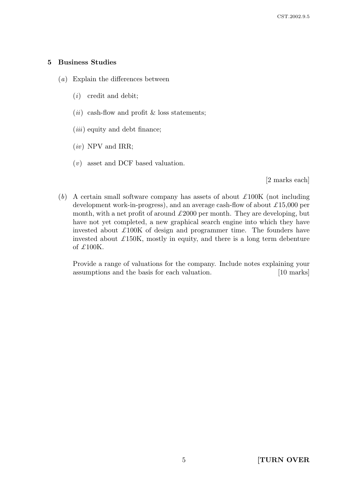## 5 Business Studies

- (a) Explain the differences between
	- (i) credit and debit;
	- (*ii*) cash-flow and profit  $\&$  loss statements;
	- $(iii)$  equity and debt finance;
	- $(iv)$  NPV and IRR;
	- (v) asset and DCF based valuation.

[2 marks each]

(b) A certain small software company has assets of about  $\pounds 100K$  (not including development work-in-progress), and an average cash-flow of about  $\pounds 15,000$  per month, with a net profit of around  $\pounds 2000$  per month. They are developing, but have not yet completed, a new graphical search engine into which they have invested about  $\pounds 100K$  of design and programmer time. The founders have invested about  $\pounds$ 150K, mostly in equity, and there is a long term debenture of £100K.

Provide a range of valuations for the company. Include notes explaining your assumptions and the basis for each valuation. [10 marks]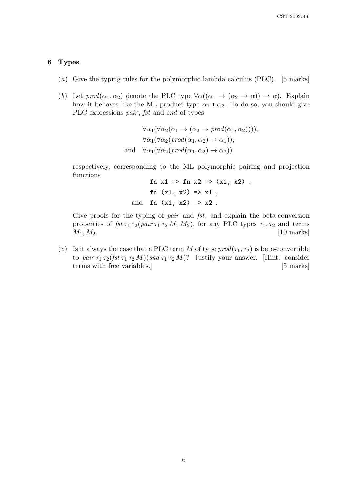#### 6 Types

- (a) Give the typing rules for the polymorphic lambda calculus (PLC). [5 marks]
- (b) Let  $prod(\alpha_1, \alpha_2)$  denote the PLC type  $\forall \alpha((\alpha_1 \rightarrow (\alpha_2 \rightarrow \alpha)) \rightarrow \alpha)$ . Explain how it behaves like the ML product type  $\alpha_1 * \alpha_2$ . To do so, you should give PLC expressions *pair*, *fst* and *snd* of types

 $\forall \alpha_1(\forall \alpha_2(\alpha_1 \rightarrow (\alpha_2 \rightarrow \text{prod}(\alpha_1, \alpha_2))))$ ,  $\forall \alpha_1(\forall \alpha_2(\text{prod}(\alpha_1, \alpha_2) \rightarrow \alpha_1)),$ and  $\forall \alpha_1(\forall \alpha_2(\text{prod}(\alpha_1, \alpha_2) \rightarrow \alpha_2))$ 

respectively, corresponding to the ML polymorphic pairing and projection functions  $f_{\text{m}}$   $\pi$ <sup>1</sup>  $\pi$   $\lambda$   $f_{\text{m}}$   $\pi$ <sup>2</sup>  $\pi$ <sup>2</sup>  $\pi$ <sup>2</sup>)  $\pi$ <sup>2</sup>

$$
\begin{array}{rcl}\n\text{in x1 &=> \text{in x2} \Rightarrow (\text{x1, x2}) \\
\text{in (x1, x2)} &=> \text{x1} \\
\text{and } \text{in (x1, x2)} &=> \text{x2} \n\end{array}
$$

Give proofs for the typing of *pair* and *fst*, and explain the beta-conversion properties of  $fst \tau_1 \tau_2(pair \tau_1 \tau_2 M_1 M_2)$ , for any PLC types  $\tau_1, \tau_2$  and terms  $M_1, M_2.$  [10 marks]

(c) Is it always the case that a PLC term M of type  $\text{prod}(\tau_1, \tau_2)$  is beta-convertible to pair  $\tau_1 \tau_2(fst \tau_1 \tau_2 M)(snd \tau_1 \tau_2 M)$ ? Justify your answer. [Hint: consider terms with free variables.] [5 marks]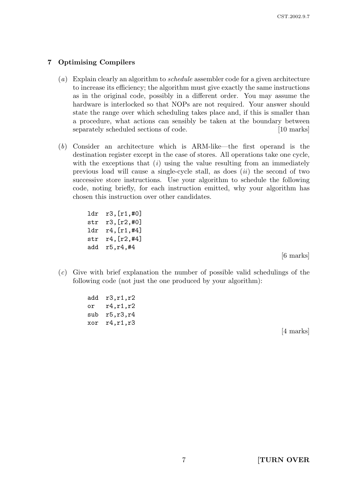## 7 Optimising Compilers

- (a) Explain clearly an algorithm to *schedule* assembler code for a given architecture to increase its efficiency; the algorithm must give exactly the same instructions as in the original code, possibly in a different order. You may assume the hardware is interlocked so that NOPs are not required. Your answer should state the range over which scheduling takes place and, if this is smaller than a procedure, what actions can sensibly be taken at the boundary between separately scheduled sections of code. [10 marks]
- (b) Consider an architecture which is ARM-like—the first operand is the destination register except in the case of stores. All operations take one cycle, with the exceptions that  $(i)$  using the value resulting from an immediately previous load will cause a single-cycle stall, as does  $(ii)$  the second of two successive store instructions. Use your algorithm to schedule the following code, noting briefly, for each instruction emitted, why your algorithm has chosen this instruction over other candidates.

ldr r3,[r1,#0] str r3,[r2,#0] ldr r4,[r1,#4] str r4,[r2,#4] add r5,r4,#4

[6 marks]

(c) Give with brief explanation the number of possible valid schedulings of the following code (not just the one produced by your algorithm):

| add  | r3,r1,r2   |
|------|------------|
| or   | r4, r1, r2 |
| ຮາາb | r5, r3, r4 |
| xor  | r4,r1,r3   |

[4 marks]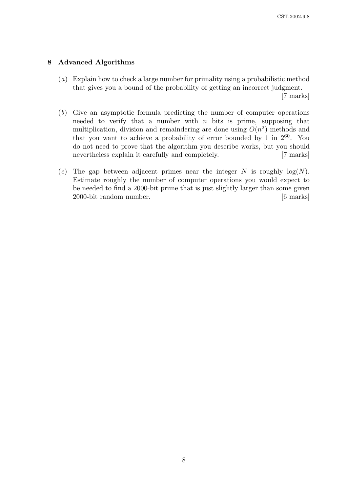## 8 Advanced Algorithms

(a) Explain how to check a large number for primality using a probabilistic method that gives you a bound of the probability of getting an incorrect judgment.

[7 marks]

- (b) Give an asymptotic formula predicting the number of computer operations needed to verify that a number with  $n$  bits is prime, supposing that multiplication, division and remaindering are done using  $O(n^2)$  methods and that you want to achieve a probability of error bounded by 1 in  $2^{60}$ . You do not need to prove that the algorithm you describe works, but you should nevertheless explain it carefully and completely. [7 marks]
- (c) The gap between adjacent primes near the integer N is roughly  $log(N)$ . Estimate roughly the number of computer operations you would expect to be needed to find a 2000-bit prime that is just slightly larger than some given 2000-bit random number. [6 marks]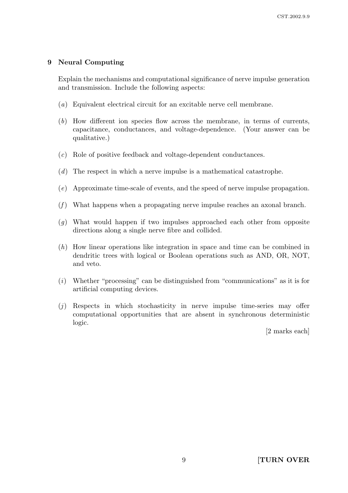### 9 Neural Computing

Explain the mechanisms and computational significance of nerve impulse generation and transmission. Include the following aspects:

- (a) Equivalent electrical circuit for an excitable nerve cell membrane.
- (b) How different ion species flow across the membrane, in terms of currents, capacitance, conductances, and voltage-dependence. (Your answer can be qualitative.)
- (c) Role of positive feedback and voltage-dependent conductances.
- (d) The respect in which a nerve impulse is a mathematical catastrophe.
- (e) Approximate time-scale of events, and the speed of nerve impulse propagation.
- $(f)$  What happens when a propagating nerve impulse reaches an axonal branch.
- (g) What would happen if two impulses approached each other from opposite directions along a single nerve fibre and collided.
- (h) How linear operations like integration in space and time can be combined in dendritic trees with logical or Boolean operations such as AND, OR, NOT, and veto.
- $(i)$  Whether "processing" can be distinguished from "communications" as it is for artificial computing devices.
- $(i)$  Respects in which stochasticity in nerve impulse time-series may offer computational opportunities that are absent in synchronous deterministic logic.

[2 marks each]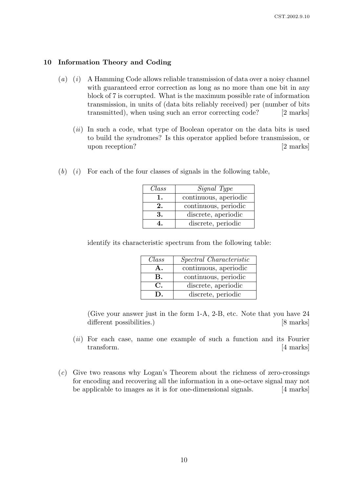### 10 Information Theory and Coding

- $(a)$  (i) A Hamming Code allows reliable transmission of data over a noisy channel with guaranteed error correction as long as no more than one bit in any block of 7 is corrupted. What is the maximum possible rate of information transmission, in units of (data bits reliably received) per (number of bits transmitted), when using such an error correcting code? [2 marks]
	- (*ii*) In such a code, what type of Boolean operator on the data bits is used to build the syndromes? Is this operator applied before transmission, or upon reception? [2 marks]

| $(b)$ (i) For each of the four classes of signals in the following table, |  |  |  |  |  |  |  |  |
|---------------------------------------------------------------------------|--|--|--|--|--|--|--|--|
|---------------------------------------------------------------------------|--|--|--|--|--|--|--|--|

| Class | Signal Type           |
|-------|-----------------------|
|       | continuous, aperiodic |
| 2.    | continuous, periodic  |
| 3.    | discrete, aperiodic   |
|       | discrete, periodic    |

identify its characteristic spectrum from the following table:

| Class          | Spectral Characteristic |
|----------------|-------------------------|
|                | continuous, aperiodic   |
| В.             | continuous, periodic    |
| $\mathbf{C}$   | discrete, aperiodic     |
| $\blacksquare$ | discrete, periodic      |

(Give your answer just in the form 1-A, 2-B, etc. Note that you have 24 different possibilities.) [8 marks]

- (ii) For each case, name one example of such a function and its Fourier transform. [4 marks]
- (c) Give two reasons why Logan's Theorem about the richness of zero-crossings for encoding and recovering all the information in a one-octave signal may not be applicable to images as it is for one-dimensional signals. [4 marks]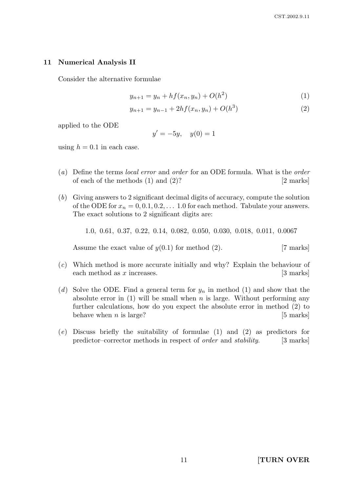### 11 Numerical Analysis II

Consider the alternative formulae

$$
y_{n+1} = y_n + h f(x_n, y_n) + O(h^2)
$$
 (1)

$$
y_{n+1} = y_{n-1} + 2hf(x_n, y_n) + O(h^3)
$$
 (2)

applied to the ODE

$$
y' = -5y, \quad y(0) = 1
$$

using  $h = 0.1$  in each case.

- (a) Define the terms local error and order for an ODE formula. What is the order of each of the methods  $(1)$  and  $(2)$ ? [2 marks]
- (b) Giving answers to 2 significant decimal digits of accuracy, compute the solution of the ODE for  $x_n = 0, 0.1, 0.2, \ldots, 1.0$  for each method. Tabulate your answers. The exact solutions to 2 significant digits are:

1.0, 0.61, 0.37, 0.22, 0.14, 0.082, 0.050, 0.030, 0.018, 0.011, 0.0067

Assume the exact value of  $y(0.1)$  for method (2). [7 marks]

- (c) Which method is more accurate initially and why? Explain the behaviour of each method as  $x$  increases.  $[3 \text{ marks}]$
- (d) Solve the ODE. Find a general term for  $y_n$  in method (1) and show that the absolute error in  $(1)$  will be small when n is large. Without performing any further calculations, how do you expect the absolute error in method (2) to behave when  $n$  is large? [5 marks]
- (e) Discuss briefly the suitability of formulae (1) and (2) as predictors for predictor–corrector methods in respect of *order* and *stability*. [3 marks]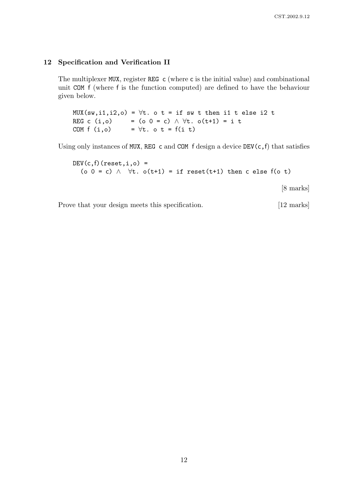#### 12 Specification and Verification II

The multiplexer MUX, register REG c (where c is the initial value) and combinational unit COM f (where f is the function computed) are defined to have the behaviour given below.

 $MUX(sw,i1,i2,o) = \forall t.$  o t = if sw t then i1 t else i2 t REG c (i,o) = (o 0 = c)  $\land \forall t.$  o(t+1) = i t COM  $f(i, o)$  =  $\forall t. \ o \ t = f(i \ t)$ 

Using only instances of MUX, REG c and COM f design a device  $DEV(c, f)$  that satisfies

 $DEV(c, f)(reset, i, o) =$ (o 0 = c)  $\land$   $\forall$ t. o(t+1) = if reset(t+1) then c else f(o t) [8 marks]

Prove that your design meets this specification. [12 marks]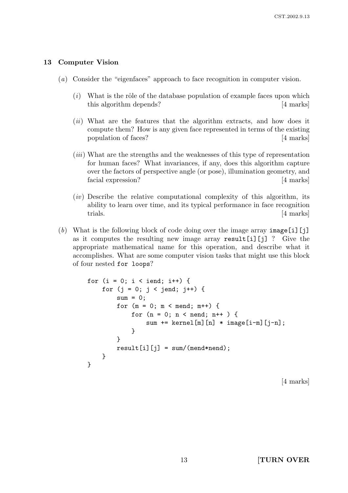### 13 Computer Vision

- (a) Consider the "eigenfaces" approach to face recognition in computer vision.
	- $(i)$  What is the rôle of the database population of example faces upon which this algorithm depends? [4 marks]
	- (*ii*) What are the features that the algorithm extracts, and how does it compute them? How is any given face represented in terms of the existing population of faces? [4 marks]
	- (iii) What are the strengths and the weaknesses of this type of representation for human faces? What invariances, if any, does this algorithm capture over the factors of perspective angle (or pose), illumination geometry, and facial expression? [4 marks]
	- $(iv)$  Describe the relative computational complexity of this algorithm, its ability to learn over time, and its typical performance in face recognition trials. [4 marks]
- (b) What is the following block of code doing over the image array  $\text{image}[i][j]$ as it computes the resulting new image array result[i][j] ? Give the appropriate mathematical name for this operation, and describe what it accomplishes. What are some computer vision tasks that might use this block of four nested for loops?

```
for (i = 0; i < iend; i++) {
    for (j = 0; j < jend; j++) {
        sum = 0;
        for (m = 0; m < mend; m^{++}) {
            for (n = 0; n < nend; n++ ) {
                sum += kernel[m][n] * image[i-m][j-n];
            }
        }
        result[i][j] = sum/(mend*nend);}
}
```
[4 marks]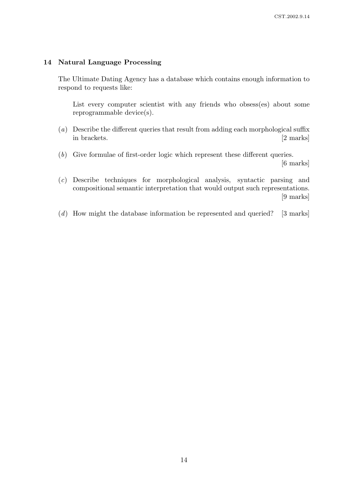### 14 Natural Language Processing

The Ultimate Dating Agency has a database which contains enough information to respond to requests like:

List every computer scientist with any friends who obsess(es) about some reprogrammable device(s).

- (a) Describe the different queries that result from adding each morphological suffix in brackets. [2 marks]
- (b) Give formulae of first-order logic which represent these different queries. [6 marks]
- (c) Describe techniques for morphological analysis, syntactic parsing and compositional semantic interpretation that would output such representations. [9 marks]
- $(d)$  How might the database information be represented and queried? [3 marks]